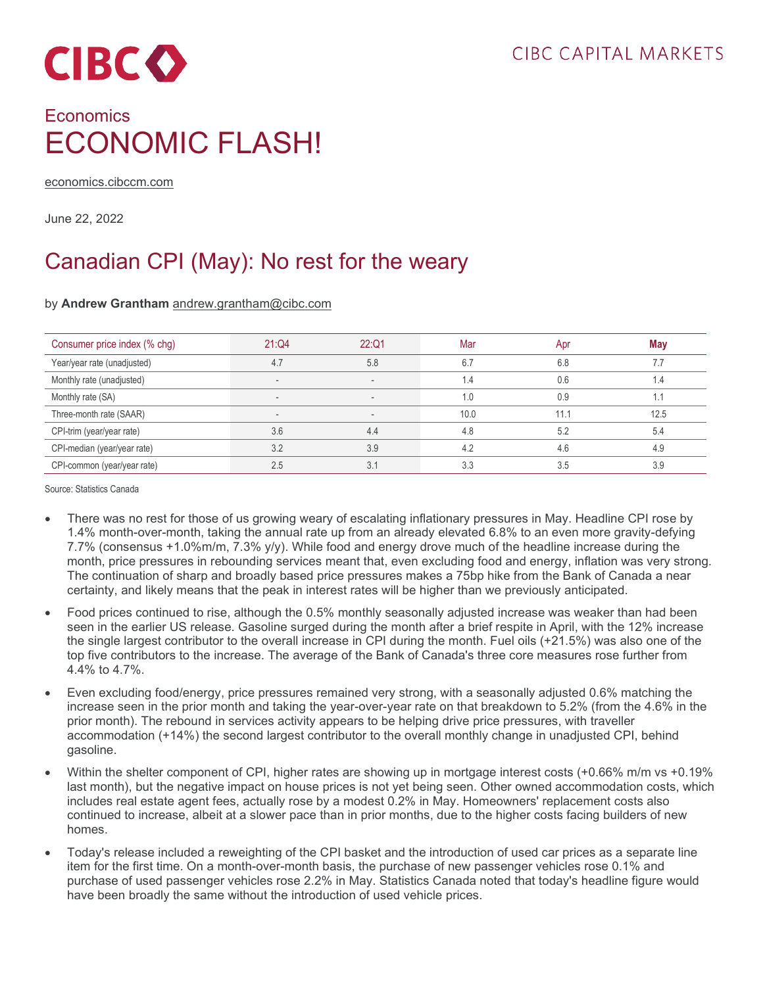

## **Economics** ECONOMIC FLASH!

[economics.cibccm.com](http://economics.cibccm.com/)

June 22, 2022

## Canadian CPI (May): No rest for the weary

| by Andrew Grantham andrew.grantham@cibc.com |
|---------------------------------------------|
|---------------------------------------------|

| Consumer price index (% chg) | 21:04 | 22:Q1                    | Mar  | Apr  | May  |
|------------------------------|-------|--------------------------|------|------|------|
| Year/year rate (unadjusted)  | 4.7   | 5.8                      | 6.7  | 6.8  |      |
| Monthly rate (unadjusted)    |       |                          | 1.4  | 0.6  |      |
| Monthly rate (SA)            | -     | $\overline{\phantom{a}}$ | 1.0  | 0.9  |      |
| Three-month rate (SAAR)      |       |                          | 10.0 | 11.1 | 12.5 |
| CPI-trim (year/year rate)    | 3.6   | 4.4                      | 4.8  | 5.2  | 5.4  |
| CPI-median (year/year rate)  | 3.2   | 3.9                      | 4.2  | 4.6  | 4.9  |
| CPI-common (year/year rate)  | 2.5   | 3.1                      | 3.3  | 3.5  | 3.9  |

Source: Statistics Canada

- There was no rest for those of us growing weary of escalating inflationary pressures in May. Headline CPI rose by 1.4% month-over-month, taking the annual rate up from an already elevated 6.8% to an even more gravity-defying 7.7% (consensus +1.0%m/m, 7.3% y/y). While food and energy drove much of the headline increase during the month, price pressures in rebounding services meant that, even excluding food and energy, inflation was very strong. The continuation of sharp and broadly based price pressures makes a 75bp hike from the Bank of Canada a near certainty, and likely means that the peak in interest rates will be higher than we previously anticipated.
- Food prices continued to rise, although the 0.5% monthly seasonally adjusted increase was weaker than had been seen in the earlier US release. Gasoline surged during the month after a brief respite in April, with the 12% increase the single largest contributor to the overall increase in CPI during the month. Fuel oils (+21.5%) was also one of the top five contributors to the increase. The average of the Bank of Canada's three core measures rose further from 4.4% to 4.7%.
- Even excluding food/energy, price pressures remained very strong, with a seasonally adjusted 0.6% matching the increase seen in the prior month and taking the year-over-year rate on that breakdown to 5.2% (from the 4.6% in the prior month). The rebound in services activity appears to be helping drive price pressures, with traveller accommodation (+14%) the second largest contributor to the overall monthly change in unadjusted CPI, behind gasoline.
- Within the shelter component of CPI, higher rates are showing up in mortgage interest costs (+0.66% m/m vs +0.19% last month), but the negative impact on house prices is not yet being seen. Other owned accommodation costs, which includes real estate agent fees, actually rose by a modest 0.2% in May. Homeowners' replacement costs also continued to increase, albeit at a slower pace than in prior months, due to the higher costs facing builders of new homes.
- Today's release included a reweighting of the CPI basket and the introduction of used car prices as a separate line item for the first time. On a month-over-month basis, the purchase of new passenger vehicles rose 0.1% and purchase of used passenger vehicles rose 2.2% in May. Statistics Canada noted that today's headline figure would have been broadly the same without the introduction of used vehicle prices.